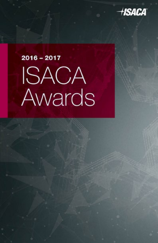

# $2016 - 2017$ ISACA Awards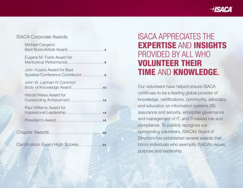754 F.

### **ISACA Corporate Awards**

| Michael Cangemi                                       |    |
|-------------------------------------------------------|----|
| Eugene M. Frank Award for<br>Meritorious Performance  |    |
| John Kuyers Award for Best                            |    |
| John W. Lainhart IV Common<br>Body of Knowledge Award |    |
| Harold Weiss Award for                                |    |
| Paul Williams Award for                               |    |
|                                                       |    |
| napter Awards 22                                      |    |
| ertification Exam High Scores                         | 24 |

### **ISACA APPRECIATES THE EXPERTISE AND INSIGHTS** PROVIDED BY ALL WHO **VOLUNTEER THEIR TIME AND KNOWLEDGE.**

Our volunteers have helped ensure ISACA continues to be a leading global provider of knowledge, certifications, community, advocacy and education on information systems (IS) assurance and security, enterprise governance and management of IT, and IT-related risk and compliance. To publicly recognize our outstanding volunteers, ISACA's Board of Directors has established several awards that honor individuals who exemplify ISACA's values, purpose and leadership.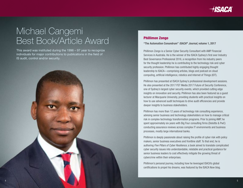

### Michael Cangemi Best Book/Article Award

This award was instituted during the 1996 – 97 year to recognize individuals for major contributions to publications in the field of IS audit, control and/or security.



#### Phillimon Zongo

"The Automation Conundrum" *ISACA® Journal*, volume 1, 2017

Phillimon Zongo is a Senior Cyber Security Consultant with AMP Financial Services in Australia. He is the winner of the ISACA Sydney's first ever Industry Best Governance Professional 2016, a recognition from his industry peers for the thought leadership he is contributing to the technology risk and cyber security profession. Phillimon has contributed highly engaging thought leadership to ISACA—comprising articles, blogs and podcast on cloud computing, artificial intelligence, robotics and Internet of Things (IOT).

Phillimon has presented at ISACA Sydney's professional development sessions. He also presented at the 2017 FST Media 2017 Future of Security Conference, one of Sydney's largest cyber security events, which provided cutting edge insights on innovation and security. Phillimon has also been featured as a guest lecturer at Macquarie University, providing students with practical insights on how to use advanced audit techniques to drive audit efficiencies and provide deeper insights to business stakeholders.

Phillimon has more than 12 years of technology risk consulting experience, advising senior business and technology stakeholders on how to manage critical risk in complex technology transformation programs. Prior to joining AMP, he spent approximately six years with Big Four consulting firms (Deloitte & PwC) conducting assurance reviews across complex IT environments and business processes, mostly large international banks.

Phillimon is deeply passionate about raising the profile of cyber risk with policy makers, senior business executives and frontline staff. To that end, he is authoring *Five Pillars of Cyber Resilience*, a book aimed to translate complicated cyber security issues into understandable, relatable and practical guidance for senior business leaders to cost effectively mitigate the growing threat of cybercrime within their enterprises.

Phillimon's personal journey, including how he leveraged ISACA's global certifications to propel his dreams, was featured by the ISACA Now blog.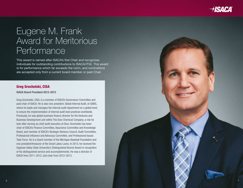

### Eugene M. Frank Award for Meritorious **Performance**

This award is named after ISACA's first Chair and recognizes individuals for outstanding contributions to ISACA/ITGI. This award is for performance which far exceeds the norm, and nominations are accepted only from a current board member or past Chair.

#### Greg Grocholski, CISA

#### ISACA Board President 2012–2013

Greg Grocholski, CISA, is a member of ISACA's Governance Committee and past chair of ISACA. He is also vice president, Global Internal Audit, at SABIC, where he leads and manages the internal audit department on a global level, to ensure the implementation of internal audit best practices worldwide. Previously, he was global business finance director for the Ventures and Business Development unit within The Dow Chemical Company, a role he took after serving as chief audit executive at Dow. Grocholski has been chair of ISACA's Finance Committee, Assurance Committee and Knowledge Board, and member of ISACA's Strategic Advisory Council, Audit Committee, Professional Influence and Advocacy Committee, and Professional Issues Task Force. He is a board member of the Michigan Baseball Foundation and vice president/treasurer of the Great Lakes Loons. In 2013, he received the Saginaw Valley State University's Distinguished Alumni Award in recognition of his distinguished service and accomplishments. He was a director of ISACA from 2011–2012, and chair from 2012–2013.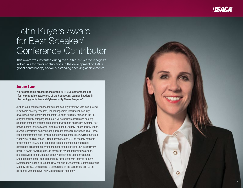

### John Kuyers Award for Best Speaker/ Conference Contributor

This award was instituted during the 1996-1997 year to recognize individuals for major contributions in the development of ISACA global conference(s) and/or outstanding speaking achievements.

#### Justine Bone

"For outstanding presentations at the 2016 CSX conferences and for helping raise awareness of the Connecting Women Leaders in Technology initiative and Cybersecurity Nexus Program."

Justine is an information technology and security executive with background in software security research, risk management, information security governance, and identity management. Justine currently serves as the CEO of cyber security company MedSec, a vulnerability research and security solutions company focused on medical devices and healthcare systems. Her previous roles include Global Chief Information Security Officer at Dow Jones, a News Corporation company and publisher of the Wall Street Journal, Global Head of Information and Physical Security at Bloomberg L.P., CTO of Secured Worldwide, an NYC-based FinTech company, and CEO of security research firm Immunity Inc. Justine is an experienced international media and conference presenter, an invited member of the BlackHat USA guest review board, a pwnie awards judge, an advisor to several technology startups, and an advisor to the Canadian security conference Countermeasures. She began her career as a vulnerability researcher with Internet Security Systems (now IBM) X-Force and New Zealand's Government Communications Security Bureau. She also has a background in the performing arts as an ex-dancer with the Royal New Zealand Ballet company.

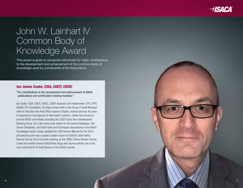

### John W. Lainhart IV Common Body of Knowledge Award

This award is given to recognize individuals for major contributions to the development and enhancement of the common body of knowledge used by constituents of the Association.

#### Ian James Cooke, CISA, CGEIT, CRISC

"For contributions to the development and enhancement of ISACA publications and certification training modules."

Ian Cooke, CISA, CGEIT, CRISC, COBIT Assessor and Implementer, CFE, CPTE, DipFM, ITIL Foundation, Six Sigma Green Belt, is the Group IT Audit Manager with An Post (the Irish Post Office based in Dublin, Ireland) and has 30 years of experience in all aspects of information systems. Cooke has served on several ISACA committees including the CGEIT Exam Item Development Working Group. He is the community leader for the Oracle Databases, SQL Server Databases, and Audit Tools and Techniques discussions in the ISACA Knowledge Center. Cooke updated the CISA Review Manual for the 2016 job practices and was a subject matter expert for ISACA's CISA Online Review Course. He is currently working on the CRISC Online Review Course. Cooke has written several ISACA Now blogs and Journal articles. He is the new columnist for IS Audit Basics in the *ISACA Journal*.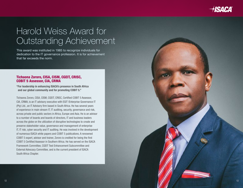

### Harold Weiss Award for Outstanding Achievement

This award was instituted in 1985 to recognize individuals for dedication to the IT governance profession. It is for achievement that far exceeds the norm.

#### Tichaona Zororo, CISA, CISM, CGEIT, CRISC, COBIT 5 Assessor, CIA, CRMA

"For leadership in enhancing ISACA's presence in South Africa and our global community and for promoting COBIT 5."

Tichaona Zororo, CISA, CISM, CGEIT, CRISC, Certified COBIT 5 Assessor, CIA, CRMA, is an IT advisory executive with EGIT |Enterprise Governance IT (Pty) Ltd., an IT Advisory firm based in South Africa. He has several years of experience in main stream IT, IT auditing, security, governance and risk, across private and public sectors in Africa, Europe and Asia. He is an advisor to a number of boards and boards of directors, IT and business leaders across the globe on the utilization of disruptive technologies to create and preserve stakeholder value, governance and management of enterprise IT, IT risk, cyber security and IT auditing. He was involved in the development of numerous ISACA white papers and COBIT 5 publications. A renowned COBIT 5 expert, advisor and trainer, Zororo is credited for being the first COBIT 5 Certified Assessor in Southern Africa. He has served on the ISACA Framework Committee, CGEIT Test Enhancement Subcommittee and External Advocacy Committee, and is the current president of ISACA South Africa Chapter.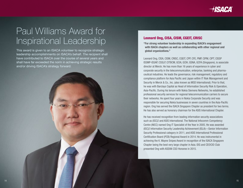## Paul Williams Award for Inspirational Leadership

This award is given to an ISACA volunteer to recognize strategic leadership accomplishments on ISACA's behalf. The recipient shall have contributed to ISACA over the course of several years and shall have far exceeded the norm in achieving strategic results and/or driving ISACA's strategy forward.

#### Leonard Ong, CISA, CISM, CGEIT, CRISC

"For strong volunteer leadership in expanding ISACA's engagement with ISACA chapters as well as collaborating with other regional and global organizations."

Leonard Ong, CISA, CISM, CRISC, CGEIT, CPP, CFE, PMP, CIPM, CIPT, CISSP ISSMP-ISSAP, CSSLP, CITBCM, GCIA, GCIH, GSNA, GCFA (Singapore), is associate director at Merck. He has more than 16 years of experience in cyber and corporate security in the telecommunication, enterprise, banking and pharmaceutical industries. He leads the governance, risk management, regulatory and compliance platform for Asia Pacific and Japan within IT Risk Management and Security in Merck & Co., Inc. (also known as MSD International). Prior to that, he was with Barclays Capital as Head of Information Security Risk & Operation, Asia-Pacific. During his tenure with Nokia Siemens Networks, he established professional security services for regional telecommunication carriers to secure their networks. He spent four years in Nokia Corporate Security and was responsible for securing Nokia businesses in seven countries in the Asia-Pacific region. Ong has served the ISACA Singapore Chapter as president for two terms. He has also served as honorary chairman for the ASIS International Chapter.

He has received recognition from leading information security associations such as (ISC)2 and ASIS International. The National Infocomm Competency Centre (NICC) named Ong IT Specialist of the Year in 2005. He was awarded (ISC)2 Information Security Leadership Achievement (ISLA)—Senior Information Security Professional category in 2011, and ASIS International Professional Certification Board (PCB) Regional Award in 2014. He was instrumental in achieving the K. Wayne Snipes Award in recognition of the ISACA Singapore Chapter being the best very large chapter in Asia. IDG and CEO|CIO Club presented Ong with ASEAN CSO Honoree in 2015.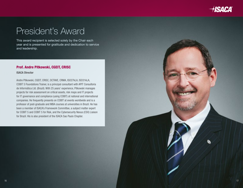

### President's Award

This award recipient is selected solely by the Chair each year and is presented for gratitude and dedication to service and leadership.

#### Prof. Andre Pitkowski, CGEIT, CRISC

ISACA Director

Andre Pitkowski, CGEIT, CRISC, OCTAVE, CRMA, ISO27kLA, ISO31kLA, COBIT 5 Foundations Trainer, is a principal consultant with APIT Consultoria de Informática Ltd. (Brazil). With 25 years' experience, Pitkowski manages projects for risk assessment on critical assets, risk maps and IT projects for IT governance and compliance (using COBIT) at national and international companies. He frequently presents on COBIT at events worldwide and is a professor of post-graduate and MBA courses at universities in Brazil. He has been a member of ISACA's Framework Committee, a subject matter expert for COBIT 5 and COBIT 5 for Risk, and the Cybersecurity Nexus (CSX) Liaison for Brazil. His is also president of the ISACA Sao Paulo Chapter.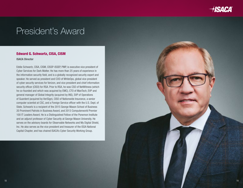

### President's Award

#### Edward G. Schwartz, CISA, CISM

ISACA Director

Eddie Schwartz, CISA, CISM, CISSP-ISSEP, PMP, is executive vice president of Cyber Services for Dark Matter. He has more than 25 years of experience in the information security field, and is a globally recognized security expert and speaker. He served as president and COO of WhiteOps, global vice president of cyber security services for Verizon, and vice president and chief information security officer (CISO) for RSA. Prior to RSA, he was CSO of NetWitness (which he co-founded and which was acquired by EMC), CTO of ManTech, EVP and general manager of Global Integrity (acquired by INS), SVP of Operations of Guardent (acquired by VeriSign), CISO of Nationwide Insurance, a senior computer scientist at CSC, and a Foreign Service officer with the U.S. Dept. of State. Schwartz is a recipient of the 2015 George Mason School of Business 20 Prominent Patriots in Business Award, and 2013 Computerworld Premier 100 IT Leaders Award. He is a Distinguished Fellow of the Ponemon Institute and an adjunct professor of Cyber Security at George Mason University. He serves on the advisory boards for Observable Networks and My Digital Shield, Inc. He also serves as the vice president and treasurer of the ISSA National Capital Chapter, and has chaired ISACA's Cyber Security Working Group.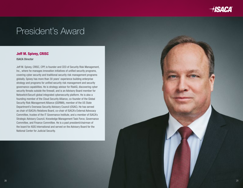

### President's Award

#### Jeff M. Spivey, CRISC

ISACA Director

Jeff M. Spivey, CRISC, CPP, is founder and CEO of Security Risk Management, Inc., where he manages innovation initiatives of unified security programs, covering cyber security and traditional security risk management programs globally. Spivey has more than 30 years' experience building enterprise strategy and programs for unified security risk management and security governance capabilities. He is strategy advisor for RiskIQ, discovering cyber security threats outside the firewall, and is an Advisory Board member for Netswitch/Securli global integrated cybersecurity platform. He is also a founding member of the Cloud Security Alliance, co-founder of the Global Security Risk Management Alliance (GSRMA), member of the US State Department's Overseas Security Advisory Council (OSAC). He has served as chair of ISACA's Relations Board, co-chair of ISACA's External Advocacy Committee, trustee of the IT Governance Institute, and a member of ISACA's Strategic Advisory Council, Knowledge Management Task Force, Governance Committee, and Finance Committee. He is a past president/chairman of the board for ASIS International and served on the Advisory Board for the National Center for Judicial Security.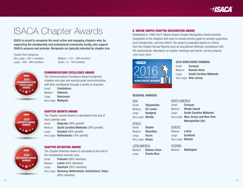

### ISACA Chapter Awards

ISACA is proud to recognize the most active and engaging chapters who, by supporting the membership and professional community locally, also support ISACA's purpose and promise. Recipients are typically selected by chapter size.

Chapter Size Categories: Large  $= 300 - 800$  members Small  $= 0 - 100$  members

Very Large  $= 801 +$  members Medium  $= 101 - 299$  members



#### COMMUNICATIONS EXCELLENCE AWARD

The Communications Excellence Award recognizes chapters who plan and execute great communications with their constituents through a variety of channels. Small: Coimbatore

Medium: Valencia Large: **Vancouver** Very Large: Malaysia



#### CHAPTER GROWTH AWARD

The Chapter Growth Award is calculated at the end of each calendar year. Small: **Belgrade** (39% growth) Medium: South Carolina Midlands (30% growth) Large: **Istanbul** (28% growth) Very Large: Netherlands (14% growth)

**HSACA** 2016 RETENTION AWARD WINNER

#### CHAPTER RETENTION AWARD

The Chapter Retention Award is calculated at the end of the membership renewal cycle. Small: **Fukuoka** (98% retention) Medium: Latvia (95% retention) Large: **Denmark** (95% retention) Very Large: Germany, Netherlands, Switzerland, Tokyo (90% retention)

#### K. WAYNE SNIPES CHAPTER RECOGNITION AWARD

Established in 1989, the K. Wayne Snipes Chapter Recognition Award provides recognition to the chapters that meet or exceed service goals by actively supporting local membership, and thus ISACA. The award is evaluated based on criteria from the Chapter Annual Reports such as educational offerings, compliance with HQ requirements, attendance at chapter meetings and events, service projects, and much more.



Small: **Curaçao**  Medium: Buenos Aires Large: South Carolina Midlands Very Large: New Jersey

#### REGIONAL WINNERS

ASIA Small: Vijayawada Medium: Sri Lanka Large: **Bangkok** Very Large: Manila

#### Small: **Curaçao** Medium: Rhode Island Large: South Carolina Midlands Very Large: New Jersey and New York

NORTH AMERICA

AFRICA

Small: Ibadan Medium: Mauritius Large: **Accra** Very Large: Kenva

#### LATIN AMERICA

Medium: Buenos Aires Large: Puerto Rico

EUROPE Medium: Latvia Large: Scotland Very Large: Madrid

**OCEANIA** 

Medium: Wellington

Metropolitan (tie)

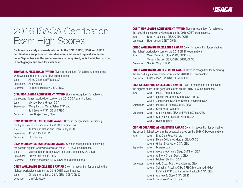

### 2016 ISACA Certification Exam High Scores

Each year, a variety of awards relating to the CISA, CRISC, CISM and CGEIT certifications are presented. Worldwide top and second highest scorers in June, September and December exams are recognized, as is the highest scorer in each geographic area for each exam.

**THOMAS H. FITZGERALD AWARD** Given in recognition for achieving the highest worldwide score on the 2016 CISA examinations.

June Alfred Chapman Watts, CISA September Anonymous December Catherine Meleady, CISA, CRISC

CISA WORLDWIDE ACHIEVEMENT AWARD Given in recognition for achieving the second highest worldwide score on the 2016 CISA examinations. June Michael David Griggs, CISA September Wang Jianxia, Murat Sahin, CISA and Sari Greene, CISA, CISM, CRISC December Lars Drejer Olsen, CISA CISM WORLDWIDE EXCELLENCE AWARD Given in recognition for achieving

the highest worldwide score on the CISM examinations. June Andrei Ioan Hohan and Dean Henry, CISM September Jesse Niland, CISM December Clive Nettey

**CGEIT WORLDWIDE ACHIEVEMENT AWARD** Given in recognition for achieving the second highest worldwide score on the 2016 CGEIT examinations. June Brian K. Johnson, CISA, CISM, CGEIT December Hugh Jones, CGEIT, CRISC

CRISC WORLDWIDE EXCELLENCE AWARD Given in recognition for achieving the highest worldwide score on the 2016 CRISC examinations.

| June     | Vinko Zlomislic, CISA, CISM, CRISC and  |
|----------|-----------------------------------------|
|          | Tomasz Brozek, CISA, CISM, CGEIT, CRISC |
| December | Siu Kin Ming, CRISC                     |

**CRISC WORLDWIDE ACHIEVEMENT AWARD** Given in recognition for achieving the second highest worldwide score on the 2016 CRISC examinations. December Frans Johan Hut, CISA, CISM, CRISC

CISA GEOGRAPHIC EXCELLENCE AWARD Given in recognition for achieving the highest score in the geographic area on the 2016 CISA examinations.

| June      | Area 1 Paul D. Freeborn, CISA                      |
|-----------|----------------------------------------------------|
|           | Area 2 Ignacio Marambio Catan, CISA, CRISC         |
|           | Area 3 John Röder, CISA and Costas Efthymiou, CISA |
| September | Area 2 Pedro Luis Flores Suarez, CISA              |
|           | Area 5 Scott Aaron Williams                        |
| December  | Area 1 Chen Yee Wei, CISA and Weijian Zeng, CISA   |
|           | Area 2 Guery Javier Salcedo Miranda, Sr.           |
|           | Area 5 Dylan Hopkins                               |
|           |                                                    |

CISA GEOGRAPHIC ACHIEVEMENT AWARD Given in recognition for achieving

the second highest score in the geographic area on the 2016 CISA examinations.

| <b>OCNICITINGL</b>                                      | <b>UGOOG INIIGHU, UIUIVI</b>                                                   |           |        | Eros Dela Rosa Herrera                                 |    |
|---------------------------------------------------------|--------------------------------------------------------------------------------|-----------|--------|--------------------------------------------------------|----|
| December                                                | <b>Clive Nettey</b>                                                            | June      | Area 1 |                                                        |    |
|                                                         |                                                                                |           |        | Area 2 Felipe De Menes Morais, CISA, CRISC             |    |
|                                                         | <b>CISM WORLDWIDE ACHIEVEMENT AWARD</b> Given in recognition for achieving     |           |        | Area 5 Gillian Bydevaate, CISA, CISM                   |    |
|                                                         | the second highest worldwide score on the 2016 CISM examinations.              | September |        | Area 1 Mayank Jain                                     |    |
| June                                                    | Michael Robert Butler, CISM and Jon Litchfield, CISA, CISM                     |           |        | Area 2 Alejandro Antonio Diego Duffilhot, CISA         |    |
| September                                               | Grover Eric Paxton, CISM                                                       |           |        | Area 3 Anthony Shaun Dench, CISA                       |    |
| December                                                | Ronald Schekman, CISA, CISM and Miriam I. Lane                                 |           |        | Area 3 Michael Sterling, CISA                          |    |
|                                                         |                                                                                | December  |        | Area 2 Aldo Oscar Marchena Adames, CISA                |    |
|                                                         | <b>CGEIT WORLDWIDE EXCELLENCE AWARD</b> Given in recognition for achieving the |           |        | Area 3 Sebastien Asselin, CISA, CRISC, Mohammad Nikkar |    |
| highest worldwide score on the 2016 CGEIT examinations. |                                                                                |           |        | Esfahani, CISA and Alexander Papitsch, CISA, CISM      |    |
| June                                                    | Christopher S. Lietz, CISA, CISM, CGEIT, CRISC                                 |           |        | Area 4 Andrew B. Close, CISA, CRISC                    |    |
| December                                                | Lim Kok Hwee                                                                   |           |        | Area 5 Jonathan Chun Ho Lam                            | 25 |
|                                                         |                                                                                |           |        |                                                        |    |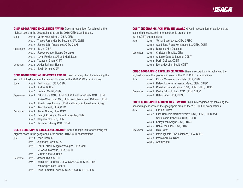

| <b>CISM GEOGRAPHIC EXCELLENCE AWARD</b> Given in recognition for achieving the |
|--------------------------------------------------------------------------------|
| highest score in the geographic area on the 2016 CISM examinations.            |

| June                                                                            |  | Area 1 Derek Koon Wing Li, CISA, CISM         |
|---------------------------------------------------------------------------------|--|-----------------------------------------------|
|                                                                                 |  | Area 2 Thales Fernandes De Souza, CISM, CGEIT |
|                                                                                 |  | Area 5 James John Anastasios, CISA, CISM      |
| September                                                                       |  | Area 1 Bo Jin, CISA                           |
|                                                                                 |  | Area 2 Jose Alexander Realpe Gonzalez         |
|                                                                                 |  | Area 3 Kevin Fielder, CISM and Mark Lees      |
|                                                                                 |  | Area 5 Yuanyuan Shen, CISM                    |
| December                                                                        |  | Area 1 Abdur-Rahman Husain                    |
|                                                                                 |  | Area 2 Edwin Orrico, CISM                     |
|                                                                                 |  |                                               |
| <b>CISM GEOGRAPHIC ACHIEVEMENT AWARD</b> Given in recognition for achieving the |  |                                               |

second highest score in the geographic area on the 2016 CISM examinations. June Area 1 Farid Kapasi, CISA, CISM Area 2 Andres Duffour Area 5 Lachlan McGill, CISM September Area 1 Pakho Tsui, CISA, CISM, CRISC, Lai Hung-Chieh, CISA, CISM, Adrian Wee Siong Min, CISM, and Shane Scott Calhoun, CISM Area 2 Alberto Jose Espana, CISM and Marco Antonio Leon Hidalgo Area 5 Matt Funnell, CISA, CISM December Area 2 Jan A. Nunez, CISA, CISM Area 3 Henryk Kolek and Abtin Shamsaifar, CISM Area 4 Stephen Blossom, CISM Area 5 Raymond Zheng, CISA, CISM

**CGEIT GEOGRAPHIC EXCELLENCE AWARD** Given in recognition for achieving the

highest score in the geographic area on the 2016 CGEIT examinations.

June Area 1 Zhao Jiechun

- Area 2 Alejandra Selva, CISA
- Area 3 Laura Ferrari, Meggie Vervelghe, CISA, and M. Wassim Amouri, CISA, CGEIT
- Area 5 Miriam Anne De Rooy
- December Area 2 Joseph Ryan, CGEIT
	- Area 3 Benjamin Henriksen, CISA, CISM, CGEIT, CRISC and Van Dorp Willem Hendrik
	- Area 5 Ross Cameron Peachey, CISA, CISM, CGEIT, CRISC

**CGEIT GEOGRAPHIC ACHIEVEMENT AWARD** Given in recognition for achieving the second highest score in the geographic area on the 2016 CGEIT examinations.

| June     | Area 1 Yernar Suyerbayev, CISA, CRISC              |
|----------|----------------------------------------------------|
|          | Area 2 Adad Esau Rivas Hernandez, Sr., CISM, CGEIT |
|          | Area 5 Roxanne Kim Guesnon                         |
| December | Area 1 Christoph Schulte, CISA                     |
|          | Area 2 Antonio Gerardo Laguna, CGEIT               |
|          | Area 4 Darin DeBoer, CGEIT                         |
|          | Area 5 Richard Archambault, CGEIT                  |

CRISC GEOGRAPHIC EXCELLENCE AWARD Given in recognition for achieving the highest score in the geographic area on the 2016 CRISC examinations.

| June     |  | Area 1 Kishor Mohanrao Jagadale, CISA, CISM              |
|----------|--|----------------------------------------------------------|
|          |  | Area 2 Rafael Roberto Hernandez Gaud, CISM, CRISC        |
|          |  | Area 5 Christian Roland Haider, CISA, CISM, CGEIT, CRISC |
| December |  | Area 2 Carlos Eduardo Luis, CISA, CISM, CRISC            |
|          |  | Area 5 Gabor Sirko, CISA, CRISC                          |

CRISC GEOGRAPHIC ACHIEVEMENT AWARD Given in recognition for achieving the

second highest score in the geographic area on the 2016 CRISC examinations.

- June Area 1 Lim Kok Hwee Area 2 Elias Nemesio Martinez Perez, CISA, CISM, CRISC and Sonia Alicia Trabanino, CISA, CRISC Area 4 Kathy Lynn Knight, CISA, CRISC
	- Area 5 Daniel Meakins, CISA, CRISC
	-
- December Area 1 Max Oates
	- Area 2 Pablo Ignacio Silva Espinoza, CISA, CRISC
	- Area 3 Pedro Saraiva, CISM
	- Area 5 Adam Wood